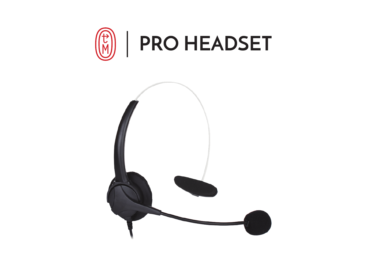

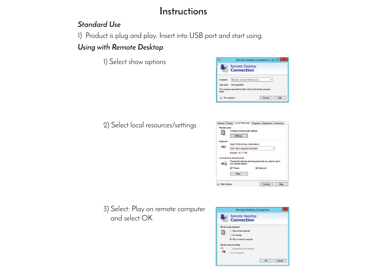## **Instructions**

### *Standard Use*

1) Product is plug and play. Insert into USB port and start using.

## *Using with Remote Desktop*

1) Select show options



2) Select local resources/settings



3) Select: Play on remote computer and select OK

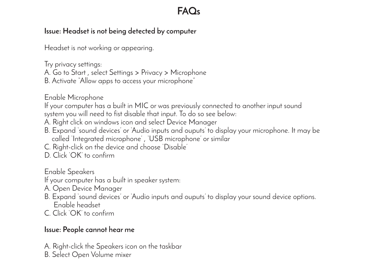# **FAQs**

### **Issue: Headset is not being detected by computer**

Headset is not working or appearing.

Try privacy settings:

A. Go to Start , select Settings > Privacy > Microphone

B. Activate "Allow apps to access your microphone"

Enable Microphone

If your computer has a built in MIC or was previously connected to another input sound system you will need to fist disable that input. To do so see below:

A. Right click on windows icon and select Device Manager

- B. Expand 'sound devices' or 'Audio inputs and ouputs' to display your microphone. It may be called 'Integrated microphone' , 'USB microphone' or similar
- C. Right-click on the device and choose 'Disable'
- D. Click 'OK' to confirm

Enable Speakers

If your computer has a built in speaker system:

- A. Open Device Manager
- B. Expand 'sound devices' or 'Audio inputs and ouputs' to display your sound device options. Enable headset
- C. Click 'OK' to confirm

### **Issue: People cannot hear me**

A. Right-click the Speakers icon on the taskbar

B. Select Open Volume mixer